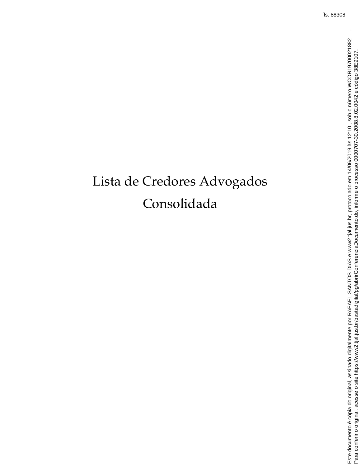## Lista de Credores Advogados Consolidada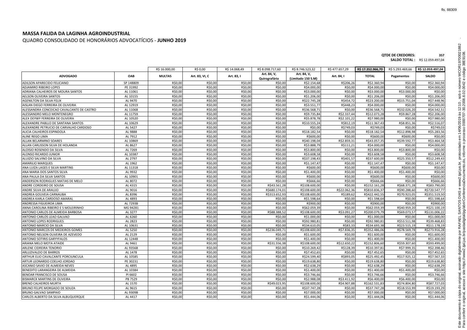## **QTDE DE CREDORES: 357**

## **SALDO TOTAL :** R\$ 12.059.497,04

|                                           |            | R\$ 16.000,00 | R\$ 0,00       | R\$ 14.068,49 | R\$ 8.098.717,60 | R\$ 8.746.523,32   | R\$477.657,29 | R\$ 17.352.966,70 | R\$ 5.293.469.66 | R\$ 12.059.497,04 |
|-------------------------------------------|------------|---------------|----------------|---------------|------------------|--------------------|---------------|-------------------|------------------|-------------------|
|                                           |            |               |                |               | Art. 84, V,      | Art. 84, V,        |               |                   |                  |                   |
| <b>ADVOGADO</b>                           | <b>OAB</b> | <b>MULTAS</b> | Art. 83, VI, C | Art. 83, I    | Quirografário    | (Limitado 150 S.M) | Art. 84, I    | <b>TOTAL</b>      | Pagamentos       | <b>SALDO</b>      |
| ADILSON APARECIDO FELICIANO               | SP 148809  | R\$0,00       | R\$0,00        | R\$0,00       | R\$0,00          | R\$2.154,68        | R\$206,26     | R\$2.360,94       | R\$0,00          | R\$2.360,94       |
| <b>ADJAMIRO RIBEIRO LOPES</b>             | PE 31992   | R\$0,00       | R\$0,00        | R\$0,00       | R\$0,00          | R\$4.000,00        | R\$0,00       | R\$4.000,00       | R\$0,00          | R\$4.000,00       |
| ADRIANA CALHEIROS DE MOURA SANTOS         | AL 11061   | R\$0,00       | R\$0,00        | R\$0,00       | R\$0,00          | R\$3.000,00        | R\$0,00       | R\$3.000,00       | R\$3.000,00      | R\$0,00           |
| AELSON OLIVEIRA SANTOS                    | AL 10155   | R\$0,00       | R\$0,00        | R\$0,00       | R\$0,00          | R\$1.206,00        | R\$0,00       | R\$1.206,00       | R\$0,00          | R\$1.206,00       |
| <b>AGENILTON DA SILVA FELIX</b>           | AL 9470    | R\$0,00       | R\$0,00        | R\$0,00       | R\$0,00          | R\$22.745,28       | R\$454,72     | R\$23.200,00      | R\$15.751,04     | R\$7.448,96       |
| AISLAN DIEGO FERREIRA DE OLIVEIRA         | AL 12919   | R\$0,00       | R\$0,0         | R\$0,00       | R\$0,00          | R\$3.551,77        | R\$448,23     | R\$4.000,00       | R\$0,00          | R\$4.000,00       |
| ALESSANDRA CONCEICAO CAVALCANTE DE CASTRO | AL 11068   | R\$0,00       | R\$0,00        | R\$0,00       | R\$0,00          | R\$36.568,71       | R\$0,00       | R\$36.568,71      | R\$32.026,20     | R\$4.542,51       |
| ALESSANDRO MELO MONTENEGRO                | AL 11759   | R\$0,00       | R\$0,00        | R\$0,00       | R\$0,00          | R\$9.735,84        | R\$2.337,44   | R\$12.073,28      | R\$9.867,28      | R\$2.206,00       |
| ALEX DEYWY FERREIRA DE OLIVEIRA           | AL 10520   | R\$0,00       | R\$0,00        | R\$0,00       | R\$0,00          | R\$5.878,78        | R\$2.101,22   | R\$7.980,00       | R\$0,00          | R\$7.980,00       |
| ALEXANDRE PABLLO DE SANTANA SANTOS        | AL 10629   | R\$0,00       | R\$0,00        | R\$0,00       | R\$0,00          | R\$10.555,24       | R\$812,19     | R\$11.367,43      | R\$8.851,36      | R\$2.516.07       |
| ALEXANDRE PETRUCIO DE CARVALHO CARDOSO    | AL 5427    | R\$0,00       | R\$0,00        | R\$0,00       | R\$0,00          | R\$0,00            | R\$749,03     | R\$749,03         | R\$0,00          | R\$749,03         |
| ALICIA CALHEIROS ESPINDOLA                | AL 9888    | R\$0,00       | R\$0,00        | R\$0,00       | R\$0,00          | R\$18.182,54       | R\$0,00       | R\$18.182,54      | R\$12.898,98     | R\$5.283,56       |
| ALINE REGO LIMA                           | AL 7912    | R\$0,00       | R\$0,00        | R\$0,00       | R\$0,00          | R\$600,00          | R\$0,00       | R\$600,00         | R\$600,00        | R\$0,00           |
| ALLAN BELARMINO SOARES                    | AL 10869   | R\$0,00       | R\$0,00        | R\$0,00       | R\$0,00          | R\$40.198,04       | R\$2.859,31   | R\$43.057,35      | R\$39.592,77     | R\$3.464,58       |
| ALLAN CARLISSON SILVA DE HOLANDA          | AL 8627    | R\$0,00       | R\$0,00        | R\$0,00       | R\$0,00          | R\$3.888,79        | R\$111,21     | R\$4.000,00       | R\$0,00          | R\$4.000,00       |
| ALOISIO ROSENDO DA SILVA                  | AL 7269    | R\$0,00       | R\$0,00        | R\$0,00       | R\$0,00          | R\$3.800,00        | R\$0,00       | R\$3.800,00       | R\$3.800,00      | R\$0,00           |
| ALONSO RICARDO JUNIOR                     | AL 10387   | R\$0,00       | R\$0,00        | R\$0,00       | R\$0,00          | R\$3.608,58        | R\$0,00       | R\$3.608,58       | R\$0,00          | R\$3.608,58       |
| ALUIZIO SALVINO DA SILVA                  | AL 2797    | R\$0,00       | R\$0,00        | R\$0,00       | R\$0,00          | R\$37.198,43       | R\$401,57     | R\$37.600,00      | R\$25.350,57     | R\$12.249,43      |
| <b>AMARILIO MARQUES</b>                   | AL 1962    | R\$0,00       | R\$0,00        | R\$0,00       | R\$0,00          | R\$1.147,47        | R\$0.00       | R\$1.147,47       | R\$0,00          | R\$1.147,47       |
| ANA LUIZA LAGES E SILVA MARTINS           | AL 11318   | R\$0,00       | R\$0,00        | R\$0,00       | R\$0,00          | R\$600,00          | R\$0,00       | R\$600,00         | R\$600,00        | R\$0,00           |
| ANA MARIA DOS SANTOS SILVA                | AL 9932    | R\$0,00       | R\$0,00        | R\$0,00       | R\$0,00          | R\$1.400,00        | R\$0,00       | R\$1.400.00       | R\$1.400,00      | R\$0,00           |
| ANA PAULA DA SILVA SANTOS                 | AL 10901   | R\$0,00       | R\$0,00        | R\$0,00       | R\$0,00          | R\$600,00          | R\$0,00       | R\$600,00         | R\$0,00          | R\$600,00         |
| ANDERSON RODRIGUES MATIAS DE MELO         | AL 8072    | R\$0,00       | R\$0,00        | R\$0,00       | R\$0,00          | R\$666,66          | R\$0,00       | R\$666,66         | R\$0,00          | R\$666,66         |
| ANDRE CORDEIRO DE SOUSA                   | AL 4315    | R\$0,00       | R\$0,0         | R\$0,00       | R\$43.561,28     | R\$108.600,00      | R\$0,00       | R\$152.161,28     | R\$68.371,28     | R\$83.790,00      |
| ANDRE SILVA DE ARAUJO                     | AL 9016    | R\$0,00       | R\$0,0         | R\$0,00       | R\$680.174,01    | R\$108.600,00      | R\$22.062,36  | R\$810.836,37     | R\$90.288,60     | R\$720.547,77     |
| ANDREA GOUVEIA CARNAUBA                   | AL 8396    | R\$0,00       | R\$0,00        | R\$0,00       | R\$313.652,93    | R\$108.600,00      | R\$189,62     | R\$422.442,55     | R\$70.923,05     | R\$351.519,50     |
| ANDREA KARLA CARDOSO AMARAL               | AL 4893    | R\$0,00       | R\$0,00        | R\$0,00       | R\$0,00          | R\$1.598,64        | R\$0,00       | R\$1.598,64       | R\$0,00          | R\$1.598,64       |
| ANDRESSA FIGUEIROA LIMA                   | AL 7293B   | R\$0,00       | R\$0,00        | R\$0,00       | R\$0,00          | R\$900,00          | R\$0,00       | R\$900,00         | R\$0,00          | R\$900,00         |
| ANNA CAROLINA RIBEIRO E S MOLEIRINHO      | MG 94281   | R\$0,00       | R\$0,00        | R\$0,00       | R\$0,00          | R\$62.059,39       | R\$0,00       | R\$62.059,39      | R\$40.959,20     | R\$21.100,19      |
| ANTONIO CARLOS DE ALMEIDA BARBOSA         | AL 3277    | R\$0,00       | R\$0,00        | R\$0,00       | R\$88.388,52     | R\$108.600,00      | R\$3.091,27   | R\$200.079,79     | R\$69.073,57     | R\$131.006,22     |
| ANTONIO CARLOS LEAO GALVAO                | AL 6260    | R\$0,00       | R\$0,00        | R\$0,00       | R\$0,00          | R\$1.000,00        | R\$0,00       | R\$1.000,00       | R\$0,00          | R\$1.000,00       |
| <b>ANTONIO LOPES RODRIGUES</b>            | AL 2823    | R\$0,00       | R\$0,00        | R\$0,00       | R\$0,00          | R\$92.980,81       | R\$0,00       | R\$92.980,81      | R\$53.511,98     | R\$39.468,83      |
| <b>ANTONIO MARCIO DA SILVA</b>            | AL 10631   | R\$0,00       | R\$0,0         | R\$0,00       | R\$0,00          | R\$34.610,05       | R\$83,33      | R\$34.693,38      | R\$23.515,19     | R\$11.178,19      |
| ANTONIO MARCOS DE MEDEIROS GOMES          | AL 5250    | R\$0,00       | R\$0,0         | R\$0,00       | R\$236.049,71    | R\$108.600,00      | R\$7.836,35   | R\$352.486,06     | R\$78.569,78     | R\$273.916,28     |
| ANTONIO NELSON OLIVEIRA DE AZEVEDO        | AL 2129    | R\$0,00       | R\$0,00        | R\$0,00       | R\$0,00          | R\$1.600,00        | R\$0,00       | R\$1.600,00       | R\$0,00          | R\$1.600,00       |
| <b>ANTONIO SOTIRIS GARYYFALOS</b>         | AL 12448   | R\$0,00       | R\$0,00        | R\$0,00       | R\$0,00          | R\$1.400,00        | R\$0,00       | R\$1.400,00       | R\$0,00          | R\$1.400,00       |
| ARIANA MELO MOTA ATAIDE                   | AL 9461    | R\$0,00       | R\$0,00        | R\$0,00       | R\$31.556,38     | R\$108.600,00      | R\$12.650,22  | R\$152.806,60     | R\$59.307,60     | R\$93.499,00      |
| <b>ARLENE CIDREIRA TENORIO</b>            | AL 9356B   | R\$0,00       | R\$0,00        | R\$0,00       | R\$0,00          | R\$10.269,42       | R\$128,39     | R\$10.397,81      | R\$7.999,35      | R\$2.398,46       |
| ARLUZIVALDO DE BARROS                     | AL 1478    | R\$0,00       | R\$0,00        | R\$0,00       | R\$0,00          | R\$7.452,65        | R\$0,00       | R\$7.452,65       | R\$0,00          | R\$7.452,65       |
| ARTHUR ELIO CAVALCANTE PORCIUNCULA        | AL 10585   | R\$0,00       | R\$0,00        | R\$0,00       | R\$0,00          | R\$24.599,40       | R\$893,05     | R\$25.492,45      | R\$17.925,12     | R\$7.567,33       |
| ARTUR LEONARDO COELHO JORDAO              | PE 30231   | R\$0,00       | R\$0,00        | R\$0,00       | R\$0,00          | R\$19.638,80       | R\$0,00       | R\$19.638,80      | R\$0,00          | R\$19.638,80      |
| ASCANIO SAVIO DE ALMEIDA NEVES            | AL 4895    | R\$0,00       | R\$0,00        | R\$0,00       | R\$0,00          | R\$2.638,29        | R\$0,00       | R\$2.638,29       | R\$0,00          | R\$2.638,29       |
| BENEDITO LARANGEIRA DE ALMEIDA            | AL 10384   | R\$0,00       | R\$0,00        | R\$0,00       | R\$0,00          | R\$1.400,00        | R\$0,00       | R\$1.400,00       | R\$1.400,00      | R\$0,00           |
| BENOAR FRANCISCO DE SOUSA                 | PI 6602    | R\$0,00       | R\$0,00        | R\$0,00       | R\$0,00          | R\$3.746,66        | R\$0,00       | R\$3.746,66       | R\$0,00          | R\$3.746,66       |
| <b>BISMARCK MARTINS DE OLIVEIRA</b>       | PB 7529    | R\$0,00       | R\$0,00        | R\$0,00       | R\$0,00          | R\$2.988,08        | R\$3.411,92   | R\$6.400,00       | R\$6.400,00      | R\$0,00           |
| <b>BRENO CALHEIROS MURTA</b>              | AL 1570    | R\$0,00       | R\$0,00        | R\$0,00       | R\$49.023,95     | R\$108.600,00      | R\$4.907,88   | R\$162.531,83     | R\$74.804,80     | R\$87.727,03      |
| BRUNO FELIPE MORGADO DE SOUZA             | AL 9615    | R\$0,00       | R\$0,00        | R\$0,00       | R\$0,00          | R\$37.747,28       | R\$0,00       | R\$37.747,28      | R\$18.553,99     | R\$19.193,29      |
| <b>BRUNO GALVAO SAMPAIO</b>               | AL 9309B   | R\$0,00       | R\$0,00        | R\$0,00       | R\$0,00          | R\$7.000,00        | R\$0,00       | R\$7.000,00       | R\$0,00          | R\$7.000,00       |
| CARLOS ALBERTO DA SILVA ALBUQUERQUE       | AL 4417    | R\$0,00       | R\$0,00        | R\$0,00       | R\$0,00          | R\$1.444,06        | R\$0,00       | R\$1.444,06       | R\$0,00          | R\$1.444,06       |

## **MASSA FALIDA DA LAGINHA AGROINDUSTRIAL**

QUADRO CONSOLIDADO DE HONORÁRIOS ADVOCATÍCIOS - **JUNHO 2019**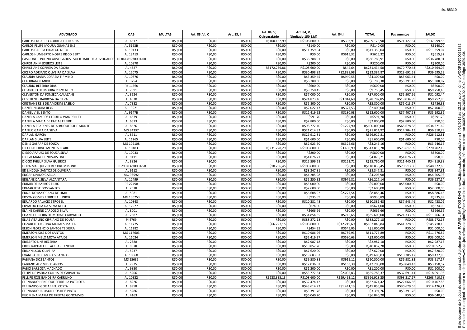| <b>ADVOGADO</b>                                                       | <b>OAB</b>         | <b>MULTAS</b> | Art. 83, VI, C | Art. 83, I | Art. 84, V,<br>Quirografário | Art. 84, V,<br>(Limitado 150 S.M) | Art. 84, I   | <b>TOTAL</b>  | Pagamentos   | <b>SALDO</b>  |
|-----------------------------------------------------------------------|--------------------|---------------|----------------|------------|------------------------------|-----------------------------------|--------------|---------------|--------------|---------------|
| CARLOS EDUARDO CORREIA DA ROCHA                                       | AL 6517            | R\$0,00       | R\$0,00        | R\$0,00    | R\$100.132,99                | R\$108.600,00                     | R\$393,91    | R\$209.126,90 | R\$71.127,34 | R\$137.999,56 |
| <b>CARLOS FELIPE MOURA GUANABENS</b>                                  | AL 5193B           | R\$0,00       | R\$0,00        | R\$0,00    | R\$0,00                      | R\$140,00                         | R\$0,00      | R\$140,00     | R\$0,00      | R\$140,00     |
| CARLOS GARCIA HIDALGO NETO                                            | AL 10133           | R\$0,00       | R\$0,00        | R\$0,00    | R\$0,00                      | R\$11.359,04                      | R\$0,00      | R\$11.359,04  | R\$0,00      | R\$11.359,04  |
| <b>CARLOS HUMBERTO NOBRE RISCO BERT</b>                               | AL 13413           | R\$0,00       | R\$0,00        | R\$0,00    | R\$0,00                      | R\$0,00                           | R\$615,32    | R\$615,32     | R\$0,00      | R\$615,32     |
| CASCIONE E PULINO ADVOGADOS SOCIEDADE DE ADVOGADOS 10.844.817/0001-08 |                    | R\$0,00       | R\$0,00        | R\$0,00    | R\$0,00                      | R\$36.788,91                      | R\$0,00      | R\$36.788,91  | R\$0,00      | R\$36.788,91  |
| <b>CHRISTIAN MEDEIROS LEITE</b>                                       | AL 10870           | R\$0,00       | R\$0,00        | R\$0,00    | R\$0,00                      | R\$200,00                         | R\$0,00      | R\$200,00     | R\$0.00      | R\$200,00     |
| CHRISTIANE CORREIA DA ROCHA                                           | AL 4827            | R\$0,00       | R\$0,00        | R\$0,00    | R\$172.789,86                | R\$108.600,00                     | R\$44,64     | R\$281.434,50 | R\$70.770,43 | R\$210.664,07 |
| CICERO ADRIANO OLIVEIRA DA SILVA                                      | AL 12075           | R\$0,00       | R\$0,00        | R\$0,00    | R\$0,00                      | R\$30.498,89                      | R\$2.888,98  | R\$33.387.87  | R\$23.692,58 | R\$9.695,29   |
| CLAUDIA MARIA CORREIA FIRMINO                                         | AL 10876           | R\$0,00       | R\$0,00        | R\$0,00    | R\$0,00                      | R\$3.359,45                       | R\$940,55    | R\$4.300,00   | R\$5.063,41  | R\$0,00       |
| <b>CLAUDIANO EMIDIO</b>                                               | AL 3754            | R\$0,00       | R\$0,00        | R\$0,00    | R\$0,00                      | R\$6.780,30                       | R\$0,00      | R\$6.780,30   | R\$5.391,43  | R\$1.388,87   |
| <b>CLAUDIO BEZERRA DIAS</b>                                           | PB 11560           | R\$0,00       | R\$0,00        | R\$0,00    | R\$0,00                      | R\$600,00                         | R\$0,00      | R\$600,00     | R\$0,00      | R\$600,00     |
| CLEANTHO DE MOURA RIZZO NETO                                          | AL 7591            | R\$0,00       | R\$0,00        | R\$0,00    | R\$0,00                      | R\$9.750,45                       | R\$0,00      | R\$9.750,45   | R\$0,00      | R\$9.750,45   |
| <b>CLEVERTON DA FONSECA CALAZANS</b>                                  | AL 8524            | R\$0,00       | R\$0,00        | R\$0,00    | R\$0,00                      | R\$7.000,00                       | R\$0,00      | R\$7.000,00   | R\$5.907,56  | R\$1.092,44   |
| <b>CLISTHENES BARBOSA DA SILVA</b>                                    | AL 4820            | R\$0,00       | R\$0,00        | R\$0,00    | R\$0,00                      | R\$24.873,16                      | R\$3.914,69  | R\$28.787,85  | R\$19.034,99 | R\$9.752,86   |
| <b>CRISTIANE REIS DE AMORIM BASILIO</b>                               | AL 7382            | R\$0,00       | R\$0,00        | R\$0,00    | R\$0,00                      | R\$5.800,00                       | R\$0,00      | R\$5.800,00   | R\$5.013,67  | R\$786,33     |
| <b>DANIEL MOURA REYS</b>                                              | AL 13921           | R\$0,00       | R\$0,00        | R\$0,00    | R\$0,00                      | R\$2.022,47                       | R\$377,53    | R\$2.400,00   | R\$0,00      | R\$2.400,00   |
| DANIEL VIEL BENTO                                                     | AL 9147B           | R\$0,00       | R\$0,00        | R\$0,00    | R\$0,00                      | R\$12.419,92                      | R\$180,08    | R\$12.600,00  | R\$7.407,68  | R\$5.192,32   |
| DANIELA CAMPOS CERULLO WANDERLEY                                      | AL 6679            | R\$0,00       | R\$0,00        | R\$0,00    | R\$0,00                      | R\$591,70                         | R\$0,00      | R\$591,70     | R\$0,00      | R\$591,70     |
| DANIELA MARIA DE FARIAS FREIRE                                        | AL 6513            | R\$0,00       | R\$0,00        | R\$0,00    | R\$0,00                      | R\$2.800,00                       | R\$0,00      | R\$2.800,00   | R\$2.800,00  | R\$0,00       |
| DANIELA PRADINES DE ALBUQUERQUE MONTE                                 | AL 8626            | R\$0,00       | R\$0,00        | R\$0,00    | R\$0,00                      | R\$98.772,10                      | R\$1.227,90  | R\$100.000,00 | R\$65.678,38 | R\$34.321,62  |
| DANILO GAMA DA SILVA                                                  | MG 94337           | R\$0,00       | R\$0,00        | R\$0,00    | R\$0,00                      | R\$21.014,92                      | R\$0,00      | R\$21.014,92  | R\$14.704,13 | R\$6.310,79   |
| <b>DARLAN GARCIA</b>                                                  | AL 8611            | R\$0,00       | R\$0,00        | R\$0,00    | R\$0,00                      | R\$26.912,81                      | R\$0,00      | R\$26.912,81  | R\$0,00      | R\$26.912,81  |
| DARLAN SILVA LEITE                                                    | AL 11265           | R\$0,00       | R\$0,00        | R\$0,00    | R\$0,00                      | R\$1.600,00                       | R\$0,00      | R\$1.600,00   | R\$1.600,00  | R\$0,00       |
| <b>DENIS GASPAR DE SOUZA</b>                                          | MG 109108          | R\$0,00       | R\$0,00        | R\$0,00    | R\$0,00                      | R\$2.923,50                       | R\$322,66    | R\$3.246,16   | R\$0,00      | R\$3.246,16   |
| DIEGO ADORNO MONTES CLARO                                             | AL 10483           | R\$0,00       | R\$0,00        | R\$0,00    | R\$231.728,29                | R\$108.600,00                     | R\$3.490,99  | R\$343.819,28 | R\$73.617,09 | R\$270.202,19 |
| DIEGO ARAUJO DE SOUZA SILVA                                           | AL 10033           | R\$0,00       | R\$0,00        | R\$0,00    | R\$0,00                      | R\$800,00                         | R\$0,00      | R\$800,00     | R\$0,00      | R\$800,00     |
| DIOGO MANOEL NOVAIS LINO                                              | AL 9111            | R\$0,00       | R\$0,00        | R\$0,00    | R\$0,00                      | R\$4.076,22                       | R\$0,00      | R\$4.076,21   | R\$4.076,21  | R\$0,00       |
| <b>DIOGO PHILLIP SILVA GUEIROS</b>                                    | AL 8826            | R\$0,00       | R\$0,00        | R\$0,00    | R\$0,00                      | R\$15.596,28                      | R\$163,72    | R\$15.760,00  | R\$11.440,12 | R\$4.319,88   |
| DORA MARQUEZ PEREZ DRUMMOND                                           | 30.290.832/0001-50 | R\$0,00       | R\$0,00        | R\$0,00    | R\$10.236,45                 | R\$108.600,00                     | R\$0,00      | R\$118.836,45 | R\$70.513,80 | R\$48.322,65  |
| ED LINCOLN SANTOS DE OLIVEIRA                                         | AL 9112            | R\$0,00       | R\$0,00        | R\$0,00    | R\$0,00                      | R\$8.347,81                       | R\$0,00      | R\$8.347,81   | R\$0,00      | R\$8.347,81   |
| <b>EDGAR DIVINO GARCIA</b>                                            | MG 93592           | R\$0,00       | R\$0,00        | R\$0,00    | R\$0,00                      | R\$4.205,98                       | R\$0,00      | R\$4.205,98   | R\$0,00      | R\$4.205,98   |
| EDILANE DA SILVA ALCANTARA                                            | AL 12499           | R\$0,00       | R\$0,00        | R\$0,00    | R\$0,00                      | R\$5.250,33                       | R\$976,81    | R\$6.227,14   | R\$0,00      | R\$6.227,14   |
| <b>EDIMIR DE BARROS FILHO</b>                                         | PE 22498           | R\$0,00       | R\$0,00        | R\$0,00    | R\$0,00                      | R\$5.000,00                       | R\$0,00      | R\$5.000,00   | R\$5.000,00  | R\$0,00       |
| <b>EDMAR JOSE DOS SANTOS</b>                                          | AL 2018            | R\$0,00       | R\$0,00        | R\$0,00    | R\$0,00                      | R\$2.600,00                       | R\$0,00      | R\$2.600,00   | R\$0,00      | R\$2.600,00   |
| EDNALDO MAIORANO DE LIMA                                              | AL 5081            | R\$0,00       | R\$0,00        | R\$0,00    | R\$0,00                      | R\$6.608,92                       | R\$2.277,54  | R\$8.886,46   | R\$0,00      | R\$8.886,46   |
| <b>EDSON GOMES FERREIRA JUNIOR</b>                                    | MG 130253          | R\$0,00       | R\$0,00        | R\$0,00    | R\$0,00                      | R\$935,89                         | R\$0,00      | R\$935,89     | R\$0,00      | R\$935,89     |
| <b>EDUARDO PALACIO STROBEL</b>                                        | AL 10848           | R\$0,00       | R\$0,00        | R\$0,00    | R\$0,00                      | R\$10.381,48                      | R\$0,00      | R\$10.381,48  | R\$7.943,46  | R\$2.438,02   |
| EDVALDO LIRA DA SILVA NETO                                            | AL 12927           | R\$0,00       | R\$0,00        | R\$0,00    | R\$0,00                      | R\$674,00                         | R\$0,00      | R\$674,00     | R\$0,00      | R\$674,00     |
| <b>ELAINE KARINE CARDOSO SILVA</b>                                    | AL 8001            | R\$0,00       | R\$0,00        | R\$0,00    | R\$0,00                      | R\$666,66                         | R\$0,00      | R\$666,66     | R\$0,00      | R\$666,66     |
| ELIANE FERREIRA DE MORAIS CARVALHO                                    | AL 2587            | R\$0,00       | R\$0,00        | R\$0,00    | R\$0,00                      | R\$34.854,35                      | R\$745,65    | R\$35.600,00  | R\$24.333,69 | R\$11.266,31  |
| ELIAS VITALINO CIPRIANO DE SOUSA                                      | PI 4769            | R\$0,00       | R\$0,00        | R\$0,00    | R\$0,00                      | R\$88.272,18                      | R\$0,00      | R\$88.272,18  | R\$0,00      | R\$88.272,18  |
| ELIZABETE CRISTINA MORAES MALTA                                       | AL 11775           | R\$0,00       | R\$0,00        | R\$0,00    | R\$66.227,15                 | R\$108.600,00                     | R\$12.219,69 | R\$187.046,84 | R\$41.328,65 | R\$145.718,19 |
| ELSON FLORENCIO SANTOS TEIXEIRA                                       | AL 11282           | R\$0,00       | R\$0,00        | R\$0,00    | R\$0,00                      | R\$454,95                         | R\$545,05    | R\$1.000,00   | R\$0,00      | R\$1.000,00   |
| <b>EMERSON JOSE DOS SANTOS</b>                                        | MG 117603          | R\$0,00       | R\$0,00        | R\$0,00    | R\$0,00                      | R\$10.986,96                      | R\$789,93    | R\$11.776,89  | R\$0,00      | R\$11.776,89  |
| <b>EMERSON MELO MOTA ATAIDE</b>                                       | AL 11034           | R\$0,00       | R\$0,00        | R\$0,00    | R\$0,00                      | R\$2.419,37                       | R\$580,63    | R\$3.000,00   | R\$0,00      | R\$3.000,00   |
| <b>ERIBERTO LINS BEZERRA</b>                                          | AL 2888            | R\$0,00       | R\$0,00        | R\$0,00    | R\$0,00                      | R\$2.987,18                       | R\$0,00      | R\$2.987,18   | R\$0,00      | R\$2.987,18   |
| <b>ERICK RAPHAEL DE AGUIAR TENORIO</b>                                | AL 9578            | R\$0,00       | R\$0,00        | R\$0,00    | R\$0,00                      | R\$10.852,20                      | R\$0,00      | R\$10.852,20  | R\$0,00      | R\$10.852,20  |
| <b>ERICKNILSON OLIVEIRA</b>                                           | AL 5237            | R\$0,00       | R\$0,00        | R\$0,00    | R\$0,00                      | R\$7.620,00                       | R\$0,00      | R\$7.620.00   | R\$0,00      | R\$7.620,00   |
| <b>EVANDSON DE MORAIS SANTOS</b>                                      | AL 10860           | R\$0,00       | R\$0,00        | R\$0,00    | R\$0,00                      | R\$19.683,03                      | R\$0,00      | R\$19.683,03  | R\$10.205,17 | R\$9.477,86   |
| <b>FABIANA DOS SANTOS</b>                                             | MS 15685           | R\$0,00       | R\$0,00        | R\$0,00    | R\$0,00                      | R\$9.580,88                       | R\$919,12    | R\$10.500,00  | R\$6.982,83  | R\$3.517,17   |
| <b>FABIANO ALVIM DOS ANJOS</b>                                        | AL 7935            | R\$0,00       | R\$0,00        | R\$0,00    | R\$0,00                      | R\$12.036,61                      | R\$163,39    | R\$12.200,00  | R\$9.049,43  | R\$3.150,57   |
| <b>FABIO BARBOSA MACHADO</b>                                          | AL 9850            | R\$0,00       | R\$0,00        | R\$0,00    | R\$0,00                      | R\$1.200,00                       | R\$0,00      | R\$1.200,00   | R\$0,00      | R\$1.200,00   |
| FELIPE DE PADUA CUNHA DE CARVALHO                                     | AL 5206            | R\$0,00       | R\$0,00        | R\$0,00    | R\$0,00                      | R\$53.777,54                      | R\$2.005,83  | R\$55.783,37  | R\$37.691,41 | R\$18.091,96  |
| FELLIPE JOSE BANDEIRA CARRILHO                                        | AL 10332           | R\$0,00       | R\$0,00        | R\$0,00    | R\$228.835,13                | R\$108.600,00                     | R\$29.493,12 | R\$366.928,25 | R\$98.217,67 | R\$268.710,58 |
| FERNANDO HENRIQUE FERREIRA PATRIOTA                                   | AL 8226            | R\$0,00       | R\$0,00        | R\$0,00    | R\$0,00                      | R\$32.474,42                      | R\$0,00      | R\$32.474,42  | R\$22.066,56 | R\$10.407,86  |
|                                                                       | AL 9958            |               |                |            |                              |                                   |              |               |              |               |
| FERNANDO IGOR ABREU COSTA                                             |                    | R\$0,00       | R\$0,00        | R\$0,00    | R\$0,00                      | R\$43.614,73                      | R\$1.441,13  | R\$45.055,86  | R\$30.629,65 | R\$14.426,21  |
| FERNANDO JACKSON DOS REIS PINTO                                       | AL 5286            | R\$0,00       | R\$0,00        | R\$0,00    | R\$0,00                      | R\$3.391,76                       | R\$0,00      | R\$3.391,76   | R\$3.391,76  | R\$0,00       |
| FILOMENA MARIA DE FREITAS GONCALVES                                   | AL 4163            | R\$0,00       | R\$0,00        | R\$0,00    | R\$0,00                      | R\$6.040,20                       | R\$0,00      | R\$6.040,20   | R\$0,00      | R\$6.040,20   |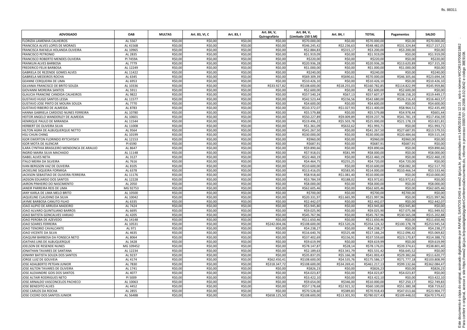| <b>ADVOGADO</b>                             | <b>OAB</b> | <b>MULTAS</b> | Art. 83, VI, C | Art. 83, I | Art. 84, V,<br>Quirografário | Art. 84, V,<br>(Limitado 150 S.M) | Art. 84, I   | TOTAL         | Pagamentos    | <b>SALDO</b>  |
|---------------------------------------------|------------|---------------|----------------|------------|------------------------------|-----------------------------------|--------------|---------------|---------------|---------------|
| FLORIZIA LAMENHA CALHEIROS                  | AL 5567    | R\$0,00       | R\$0,00        | R\$0,00    | R\$0,00                      | R\$70.000,00                      | R\$0,00      | R\$70.000,00  | R\$0,00       | R\$70.000,00  |
| FRANCISCA ALVES LOPES DE MORAES             | AL 4156B   | R\$0,00       | R\$0,00        | R\$0,00    | R\$0,00                      | R\$46.245,42                      | R\$2.236,63  | R\$48.482,05  | R\$31.324,84  | R\$17.157,21  |
| FRANCISCA RAFAELA HOLANDA OLIVEIRA          | AL 10965   | R\$0,00       | R\$0,00        | R\$0,00    | R\$0,00                      | R\$2.884,83                       | R\$315,17    | R\$3.200,00   | R\$3.200,00   | R\$0,00       |
| <b>FRANCISCO PETRONIO</b>                   | AL 2835    | R\$0,00       | R\$0,00        | R\$0,00    | R\$0,00                      | R\$1.919,09                       | R\$0,00      | R\$1.919,09   | R\$0,00       | R\$1.919,09   |
| <b>FRANCISCO ROBERTO MENDES OLIVEIRA</b>    | PI 7459A   | R\$0,00       | R\$0,00        | R\$0,00    | R\$0,00                      | R\$220,00                         | R\$0,00      | R\$220,00     | R\$0,00       | R\$220,00     |
| <b>FRANKLIN ALVES BARBOSA</b>               | AL 7779    | R\$0,00       | R\$0,00        | R\$0,00    | R\$0,00                      | R\$20.936,28                      | R\$0,00      | R\$20.936,28  | R\$13.620,89  | R\$7.315,39   |
| <b>FREDERICO FELIX BARBOSA</b>              | AL 12249   | R\$0,00       | R\$0,00        | R\$0,00    | R\$0,00                      | R\$1.000,00                       | R\$0,00      | R\$1.000,00   | R\$1.000,00   | R\$0,00       |
| GABRIELA DE REZENDE GOMES ALVES             | AL 11422   | R\$0,00       | R\$0,00        | R\$0,00    | R\$0,00                      | R\$240,00                         | R\$0,00      | R\$240,00     | R\$0,00       | R\$240,00     |
| <b>GABRIELA MEDEIROS ROCHA</b>              | AL 6345    | R\$0,00       | R\$0,00        | R\$0,00    | R\$0,00                      | R\$69.309,39                      | R\$690,61    | R\$70.000,00  | R\$46.305,66  | R\$23.694,34  |
| <b>GEANNE CERQUEIRA DE LIMA</b>             | AL 6953    | R\$0,00       | R\$0,00        | R\$0,00    | R\$0,00                      | R\$10.426,10                      | R\$0,00      | R\$10.426,10  | R\$0,00       | R\$10.426,10  |
| GILVANIA FRANCISCO DE BRITO SOUZA           | AL 10336   | R\$0,00       | R\$0,00        | R\$0,00    | R\$33.927,82                 | R\$108.600,00                     | R\$18.255,03 | R\$160.782,85 | R\$114.822,99 | R\$45.959,86  |
| <b>GIOVANNI MOREIRA SANTOS</b>              | AL 5911    | R\$0,00       | R\$0,00        | R\$0,00    | R\$0,00                      | R\$2.600,00                       | R\$0,00      | R\$2.600,00   | R\$2.600,00   | R\$0,00       |
| GLAUCIA FRANCINE CANDIDA CALHEIROS          | AL 9822    | R\$0,00       | R\$0,00        | R\$0,00    | R\$0,00                      | R\$57.540,24                      | R\$67,13     | R\$57.607,37  | R\$38.158,20  | R\$19.449,17  |
| <b>GUSTAVO HUGO SANTOS LESSA</b>            | AL 11577   | R\$0,00       | R\$0,00        | R\$0,00    | R\$0,00                      | R\$42.523,44                      | R\$156,56    | R\$42.680,00  | R\$26.216,43  | R\$16.463,57  |
| GUSTAVO JOSE PINTO DE MOURA SOUZA           | AL 7770    | R\$0,00       | R\$0,00        | R\$0,00    | R\$0,00                      | R\$4.600,00                       | R\$0,00      | R\$4.600,00   | R\$0,00       | R\$4.600,00   |
| <b>GUSTAVO RIBEIRO DE ALMEIDA</b>           | AL 8783    | R\$0,00       | R\$0,00        | R\$0,00    | R\$0,00                      | R\$10.372,07                      | R\$1.027,93  | R\$11.400,00  | R\$8.964,51   | R\$2.435,49   |
| HANNA GABRIELA CARDOSO NUNES FERREIRA       | AL 10780   | R\$0,00       | R\$0,00        | R\$0,00    | R\$0,00                      | R\$5.579,88                       | R\$0,00      | R\$5.579,88   | R\$4.978,44   | R\$601,44     |
| HEITOR ANGELO WANDERLEY DE ALMEIDA          | AL 10601   | R\$0,00       | R\$0,00        | R\$0,00    | R\$0,00                      | R\$50.227,89                      | R\$9.009,89  | R\$59.237,78  | R\$41.781,19  | R\$17.456,59  |
| HENRIQUE PAULO DE MIRANDA                   | AL 11544   | R\$0,00       | R\$0,00        | R\$0,00    | R\$0,00                      | R\$19.496,22                      | R\$5.503,78  | R\$25.000,00  | R\$21.178,19  | R\$3.821,81   |
|                                             |            | R\$0,00       | R\$0,00        | R\$0,00    |                              |                                   | R\$632,62    |               |               | R\$1.993,71   |
| HERBERT DE OLIVEIRA SILVA                   | AL 11008   |               |                |            | R\$0,00                      | R\$1.361,09                       |              | R\$1.993,71   | R\$0,00       |               |
| HILTON AGRA DE ALBUQUERQUE NETTO            | AL 9564    | R\$0,00       | R\$0,00        | R\$0,00    | R\$0,00                      | R\$41.267,50                      | R\$0,00      | R\$41.267,50  | R\$27.687,95  | R\$13.579,55  |
| <b>HSU CHUN CHING</b>                       | AL 10199   | R\$0,00       | R\$0,00        | R\$0,00    | R\$0,00                      | R\$30.000,00                      | R\$0,00      | R\$30.000,00  | R\$20.484,66  | R\$9.515,34   |
| <b>IGOR EWERTON FLORINDO RYTCHYSKYI</b>     | AL 12153   | R\$0,00       | R\$0,00        | R\$0,00    | R\$0,00                      | R\$960,00                         | R\$0,00      | R\$960,00     | R\$960,00     | R\$0,00       |
| IGOR MOTA DE ALENCAR                        | PI 6590    | R\$0,00       | R\$0,00        | R\$0,00    | R\$0,00                      | R\$687,91                         | R\$0,00      | R\$687,91     | R\$687,91     | R\$0,00       |
| ILARA CYNTHIA BRASILEIRO MENDONCA DE ARAUJO | AL 8647    | R\$0,00       | R\$0,00        | R\$0,00    | R\$0,00                      | R\$9.890,66                       | R\$0,00      | R\$9.890,66   | R\$0,00       | R\$9.890,66   |
| INGRID MAIRA SILVA MACHADO                  | AL 11148   | R\$0,00       | R\$0,00        | R\$0,00    | R\$0,00                      | R\$7.918,01                       | R\$81,99     | R\$8.000,00   | R\$0,00       | R\$8.000,00   |
| <b>ISABEL ALVES NETA</b>                    | AL 3127    | R\$0,00       | R\$0,00        | R\$0,00    | R\$0,00                      | R\$22.460,19                      | R\$0,00      | R\$22.460,19  | R\$0,00       | R\$22.460,19  |
| <b>ITALO MEIRA DA SILVEIRA</b>              | AL 7616    | R\$0,00       | R\$0,00        | R\$0,00    | R\$0,00                      | R\$4.464,75                       | R\$255,25    | R\$4.720,00   | R\$4.720,00   | R\$0,00       |
| IVAN BERGSON VAZ DE OLIVEIRA                | AL 8105    | R\$0,00       | R\$0,00        | R\$0,00    | R\$0,00                      | R\$10.600,00                      | R\$0,00      | R\$10.600,00  | R\$8.082,30   | R\$2.517,70   |
| JACKELINE SIQUEIRA FORMIGA                  | AL 6378    | R\$0,00       | R\$0,00        | R\$0,00    | R\$0,00                      | R\$13.416,05                      | R\$583,95    | R\$14.000,00  | R\$10.466,54  | R\$3.533,46   |
| JACKSON SEBASTIAO DE OLIVEIRA FERREIRA      | AL 11176   | R\$0,00       | R\$0,00        | R\$0,00    | R\$0,00                      | R\$8.918,60                       | R\$1.081,40  | R\$10.000,00  | R\$0,00       | R\$10.000,00  |
| JADSON EDUARDO DOS SANTOS                   | AL 12228   | R\$0,00       | R\$0,00        | R\$0,00    | R\$0,00                      | R\$3.784,59                       | R\$188,02    | R\$3.972,61   | R\$3.972,61   | R\$0,00       |
| JAIRON PINHEIRO DO NASCIMENTO               | AL 2050    | R\$0,00       | R\$0,00        | R\$0,00    | R\$0,00                      | R\$8.000,00                       | R\$0,00      | R\$8.000,00   | R\$0,00       | R\$8.000,00   |
| JANEIR PARREIRA REIS DE LIMA                | MG 92753   | R\$0,00       | R\$0,00        | R\$0,00    | R\$0,00                      | R\$62.605,46                      | R\$0,00      | R\$62.605,46  | R\$0,00       | R\$62.605,46  |
| JANY KARLA DE LIMA MELO BRITO               | AL 10500   | R\$0,00       | R\$0,00        | R\$0,00    | R\$0,00                      | R\$700,00                         | R\$0,00      | R\$700,00     | R\$700,00     | R\$0,00       |
| JAQUELINE CLAUDINO DA SILVA                 | AL 10042   | R\$0,00       | R\$0,00        | R\$0,00    | R\$0,00                      | R\$20.331,97                      | R\$1.665,99  | R\$21.997,96  | R\$0,00       | R\$21.997,96  |
| JAYME BARBOSA CANUTO FILHO                  | AL 6335    | R\$0,00       | R\$0,00        | R\$0,00    | R\$0,00                      | R\$2.442,07                       | R\$0,00      | R\$2.442,07   | R\$0,00       | R\$2.442,07   |
| JOAO ALIPIO DE ARRUDA MADEIRO               | AL 7424    | R\$0,00       | R\$0,00        | R\$0,00    | R\$0,00                      | R\$3.945,80                       | R\$0,00      | R\$3.945,80   | R\$3.945,80   | R\$0,00       |
| JOAO ALVARO QUINTILIANO BARROS              | AL 6695    | R\$0,00       | R\$0,00        | R\$0,00    | R\$0,00                      | R\$9.025,90                       | R\$0,00      | R\$9.025,90   | R\$7.075,98   | R\$1.949,92   |
| JOAO BATISTA GONCALVES VARJAO               | AL 4205    | R\$0,00       | R\$0,00        | R\$0,00    | R\$0,00                      | R\$45.767,96                      | R\$0,00      | R\$45.767,96  | R\$30.565,08  | R\$15.202,88  |
| JOAO PEROBA DE AZEVEDO                      | AL 14148   | R\$0,00       | R\$0,00        | R\$0,00    | R\$0,00                      | R\$11.650,46                      | R\$0,00      | R\$11.650,46  | R\$0,00       | R\$11.650,46  |
| JOAO SOARES FERREIRA                        | AL 10531   | R\$0,00       | R\$0,00        | R\$0,00    | R\$242.004,06                | R\$108.600,00                     | R\$3.520,26  | R\$354.124,32 | R\$100.178,78 | R\$253.945,54 |
| JOAO TENORIO CAVALCANTE                     | AL 971     | R\$0,00       | R\$0,00        | R\$0,00    | R\$0,00                      | R\$4.238,27                       | R\$0,00      | R\$4.238,27   | R\$0,00       | R\$4.238,27   |
| JOAO VICENTE DA SILVA                       | AL 4635    | R\$0,00       | R\$0,00        | R\$0,00    | R\$0,00                      | R\$16.640,76                      | R\$525,48    | R\$17.166,24  | R\$12.096,42  | R\$5.069,82   |
| JOAQUIM BARBOSA DA FONSECA NETO             | AL 8064    | R\$0,00       | R\$0,00        | R\$0,00    | R\$0,00                      | R\$37.402,69                      | R\$156,91    | R\$37.559,60  | R\$23.170,87  | R\$14.388,73  |
| JOATHAS LINS DE ALBUQUERQUE                 | AL 3428    | R\$0,00       | R\$0,00        | R\$0,00    | R\$0,00                      | R\$9.619,99                       | R\$0,00      | R\$9.619,99   | R\$0,00       | R\$9.619,99   |
| JOELSON DE RESENDE NUNES                    | MG 109452  | R\$0,00       | R\$0,00        | R\$0,00    | R\$0,00                      | R\$78.147,87                      | R\$28,14     | R\$78.176,01  | R\$39.374,61  | R\$38.801,40  |
| JONATHAN TAVARES DE SANTANA                 | AL 12234   | R\$0,00       | R\$0,00        | R\$0,00    | R\$0,00                      | R\$2.189,63                       | R\$3.341,79  | R\$5.531,42   | R\$6.645,52   | R\$0,00       |
| JONHNY BATISTA SOUZA DOS SANTOS             | AL 9237    | R\$0,00       | R\$0,00        | R\$0,00    | R\$0,00                      | R\$35.837,05                      | R\$5.166,38  | R\$41.003,43  | R\$29.382,66  | R\$11.620,77  |
| JORGE LUIZ DE GOUVEIA                       | AL 4174    | R\$0,00       | R\$0,00        | R\$0,00    | R\$62.450,41                 | R\$108.600,00                     | R\$4.535,76  | R\$175.586,17 | R\$71.777,18  | R\$103.808,99 |
| JOSE ADALBERTO PETEAN JUNIOR                | AL 7830    | R\$0,00       | R\$0,00        | R\$0,00    | R\$318.347,72                | R\$108.600,00                     | R\$34.269,41 | R\$461.217,13 | R\$99.132,66  | R\$362.084,47 |
| JOSE AILTON TAVARES DE OLIVEIRA             | AL 1741    | R\$0,00       | R\$0,00        | R\$0,00    | R\$0,00                      | R\$826,23                         | R\$0,00      | R\$826,23     | R\$0,00       | R\$826,23     |
| JOSE ALEXANDRE GOIS DOS SANTOS              | AL 4077    | R\$0,00       | R\$0,00        | R\$0,00    | R\$0,00                      | R\$4.023,87                       | R\$0,00      | R\$4.023,87   | R\$4.023,87   | R\$0,00       |
| JOSE ALTAIR RODRIGUES NETO                  | PI 5009    | R\$0,00       | R\$0,00        | R\$0,00    | R\$0,00                      | R\$3.422,10                       | R\$0,00      | R\$3.422,10   | R\$0,00       | R\$3.422,10   |
| JOSE ARNALDO VASCONCELOS PACHECO            | AL 10063   | R\$0,00       | R\$0,00        | R\$0,00    | R\$0,00                      | R\$9.654,00                       | R\$346,00    | R\$10.000,00  | R\$7.250,17   | R\$2.749,83   |
| JOSE BENEDITO ALVES                         | AL 4452    | R\$0,00       | R\$0,00        | R\$0,00    | R\$0,00                      | R\$57.178,68                      | R\$2.921,32  | R\$60.100,00  | R\$51.380,38  | R\$8.719,62   |
| JOSE CARLOS DA ROCHA                        | AL 2855    | R\$0,00       | R\$0,00        | R\$0,00    | R\$0,00                      | R\$70.528,60                      | R\$389,83    | R\$70.918,43  | R\$47.013,66  | R\$23.904,77  |
| JOSE CICERO DOS SANTOS JUNIOR               | AL 5648B   | R\$0,00       | R\$0,00        | R\$0,00    | R\$658.125,50                | R\$108.600,00                     | R\$13.301,93 | R\$780.027,43 | R\$109.448,02 | R\$670.579,41 |
|                                             |            |               |                |            |                              |                                   |              |               |               |               |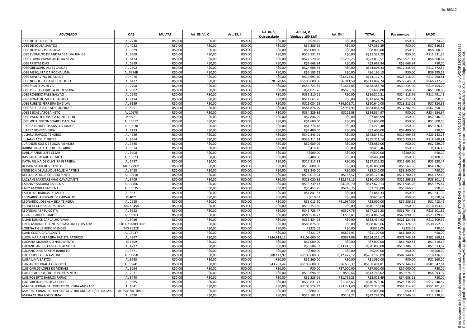| <b>ADVOGADO</b>                                      | <b>OAB</b>         | <b>MULTAS</b> | Art. 83, VI, C | Art. 83, I | Art. 84, V,<br>Quirografário | Art. 84, V,<br>(Limitado 150 S.M) | Art. 84, I   | <b>TOTAL</b>  | Pagamentos   | <b>SALDO</b>  |
|------------------------------------------------------|--------------------|---------------|----------------|------------|------------------------------|-----------------------------------|--------------|---------------|--------------|---------------|
| JOSE DE SOUZA NETO                                   | AL 2710            | R\$0,00       | R\$0,00        | R\$0,00    | R\$0,00                      | R\$24,25                          | R\$0,00      | R\$24,25      | R\$0,00      | R\$24,25      |
| JOSE DE SOUZA SANTOS                                 | AL 4022            | R\$0,00       | R\$0,00        | R\$0,00    | R\$0,00                      | R\$7.386,39                       | R\$0,00      | R\$7.386,39   | R\$0.00      | R\$7.386,39   |
| JOSE DOMINGOS DA SILVA                               | AL 3629            | R\$0,00       | R\$0,00        | R\$0,00    | R\$0,00                      | R\$8.000,00                       | R\$0,00      | R\$8.000,00   | R\$0,00      | R\$8.000,00   |
| JOSE EVERALDO DE ANDRADE SILVA JUNIOR                | AL 6568            | R\$0,00       | R\$0,00        | R\$0,00    | R\$0,00                      | R\$15.531,29                      | R\$0,00      | R\$15.531.29  | R\$0,00      | R\$15.531,29  |
| JOSE FLAVIO CAVALCANTE DA SILVA                      | AL 6124            | R\$0,00       | R\$0,00        | R\$0,00    | R\$0,00                      | R\$22.570,28                      | R\$1.269,23  | R\$23.839,51  | R\$16.971,47 | R\$6.868,04   |
| JOSE FREITAS DIAS                                    | AL 5289            | R\$0,00       | R\$0,00        | R\$0,00    | R\$0,00                      | R\$3.668,84                       | R\$0,00      | R\$3.668,84   | R\$3.668,84  | R\$0,00       |
| JOSE GREGORIO ALVES CALDAS                           | AL 2502            | R\$0,00       | R\$0,00        | R\$0,00    | R\$0,00                      | R\$24.608,33                      | R\$0,00      | R\$24.608,33  | R\$12.235,96 | R\$12.372,37  |
| JOSE MESQUITA DA ROCHA LIMA                          | AL 5334B           | R\$0,00       | R\$0,00        | R\$0,00    | R\$0,00                      | R\$6.195,13                       | R\$0,00      | R\$6.195,13   | R\$0,00      | R\$6.195,13   |
| JOSE MINERVINO DE ATAIDE                             | AL 4070            | R\$0,00       | R\$0,00        | R\$0,00    | R\$0,00                      | R\$39.693,10                      | R\$3.424,61  | R\$43.117,71  | R\$25.518.90 | R\$17.598,81  |
| JOSE NOGUEIRA DA ROCHA FILHO                         | AL 8127            | R\$0,00       | R\$0,00        | R\$0,00    | R\$28.370,66                 | R\$108.600,00                     | R\$6.911,58  | R\$143.882,24 | R\$77.645,01 | R\$66.237,23  |
| JOSE PAULO DA SILVA                                  | AL 2708            | R\$0,00       | R\$0,00        | R\$0,00    | R\$0,00                      | R\$56.723,85                      | R\$1.664,85  | R\$58.388,70  | R\$39.234,00 | R\$19.154,70  |
| JOSE PEDRO PATRIOTA DE OLIVEIRA                      | AL 7607            | R\$0,00       | R\$0,00        | R\$0,00    | R\$0,00                      | R\$1.023,26                       | R\$576,74    | R\$1.600,00   | R\$0,00      | R\$1.600,00   |
| JOSE ROGERIO PAES GALVAO                             | AL 2948            | R\$0,00       | R\$0,00        | R\$0,00    | R\$0,00                      | R\$36.310,21                      | R\$0,00      | R\$36.310,21  | R\$24.518,76 | R\$11.791,45  |
| JOSE RONALDO VIEIRA DA SILVA                         | AL 7174            | R\$0,00       | R\$0,00        | R\$0,00    | R\$0,00                      | R\$11.661,76                      | R\$0,00      | R\$11.661,76  | R\$23.212,51 | R\$0,00       |
| JOSE RUBENS FERREIRA DA SILVA                        | AL 9199            | R\$0,00       | R\$0,00        | R\$0,00    | R\$0,00                      | R\$16.034,29                      | R\$4.605,7   | R\$20.640,00  | R\$13.315,05 | R\$7.324,95   |
| JOSE SAPUCAIA DE ALBUQUERQUE                         | AL 5251            | R\$0,00       | R\$0,00        | R\$0,00    | R\$0,00                      | R\$81.876,29                      | R\$2.984,95  | R\$84.861,24  | R\$17.202.89 | R\$67.658,35  |
| JOSE SEIXAS JATOBA NETO                              | AL 10670           | R\$0,00       | R\$0,00        | R\$0,00    | R\$0,00                      | R\$34.329,89                      | R\$225,08    | R\$34.554,97  | R\$0,00      | R\$34.554,97  |
| JOSE VAGNER FONSECA NUNES FILHO                      | PI 9573            | R\$0,00       | R\$0,00        | R\$0,00    | R\$0,00                      | R\$7.846,99                       | R\$0,00      | R\$7.846,99   | R\$0,00      | R\$7.846,99   |
| JOSE WELLINGTON SOARES DA SILVA                      | AL 10512           | R\$0,00       | R\$0,00        | R\$0,00    | R\$0,00                      | R\$1.600,00                       | R\$0,00      | R\$1.600,00   | R\$0,00      | R\$1.600,00   |
| JUAREZ FREIRE DOS SANTOS JUNIOR                      | AL 10630           | R\$0,00       | R\$0,00        | R\$0,00    | R\$0,00                      | R\$1.276,48                       | R\$0,00      | R\$1.276,48   | R\$0.00      | R\$1.276,48   |
| <b>JUAREZ GOMES VIEIRA</b>                           | AL 2173            | R\$0,00       | R\$0,00        | R\$0,00    | R\$0,00                      | R\$2.400,00                       | R\$0,00      | R\$2.400,00   | R\$2.400,00  | R\$0,00       |
| <b>JULIANA RAPOSO TENORIO</b>                        | AL 4929            | R\$0,00       | R\$0,00        | R\$0,00    | R\$0,00                      | R\$42.843,01                      | R\$0,00      | R\$42.843,01  | R\$19.699,78 | R\$23.143,23  |
| <b>JULIANO ACIOLY FREIRE</b>                         | AL 6564            | R\$0,00       | R\$0,00        | R\$0,00    | R\$0,00                      | R\$39.311,14                      | R\$0,00      | R\$39.311,14  | R\$20.750,33 | R\$18.560,81  |
| JURANDIR JOSE DE SOUZA MENEZES                       | AL 3885            | R\$0,00       | R\$0,00        | R\$0,00    | R\$0,00                      | R\$2.689,06                       | R\$0,00      | R\$2.689,06   | R\$0.00      | R\$2.689,06   |
| KARINE RAFAELLE PEREIRA FARIAS                       | AL 9674            | R\$0,00       | R\$0,00        | R\$0,00    | R\$0,00                      | R\$416,46                         | R\$0,00      | R\$416,46     | R\$0,00      | R\$416,46     |
| <b>KARLLY ANNE LEITE CESAR</b>                       | AL 9908            | R\$0,00       | R\$0,00        | R\$0,00    | R\$0,00                      | R\$500,00                         | R\$0,00      | R\$500,00     | R\$500,00    | R\$0,00       |
| KASSIANA CALADO DE MELO                              | AL 13823           | R\$0,00       | R\$0,00        | R\$0,00    | R\$0,00                      | R\$400,00                         | R\$0,00      | R\$400,00     | R\$0,00      | R\$400,00     |
| KATIA FELINA DE OLIVEIRA FERREIRA                    | AL 5797            | R\$0,00       | R\$0,00        | R\$0,00    | R\$0,00                      | R\$17.815,83                      | R\$0,00      | R\$17.815,83  | R\$12.695,36 | R\$5.120,47   |
| <b>KELSON VITOR DOS SANTOS</b>                       | MG 127921          | R\$0,00       | R\$0,00        | R\$0,00    | R\$0,00                      | R\$10.800,00                      | R\$0,00      | R\$10.800,00  | R\$6.563,50  | R\$4.236,50   |
| KENISSON DE ALBUQUERQUE MARTINS                      | AL 8423            | R\$0,00       | R\$0,00        | R\$0,00    | R\$0,00                      | R\$3.240,00                       | R\$0,00      | R\$3.240,00   | R\$3.240,00  | R\$0,00       |
| <b>KEYLLA PATRICIA CORREIA PINTO</b>                 | AL 10418           | R\$0,00       | R\$0,00        | R\$0,00    | R\$0,00                      | R\$16.019,94                      | R\$153,52    | R\$16.173,46  | R\$11.700,77 | R\$4.472,69   |
| LACYANE MASCARENHAS CAVALCANTE                       | AL 8709            | R\$0,00       | R\$0,00        | R\$0,00    | R\$0,00                      | R\$28.020,85                      | R\$2.379,15  | R\$30.400,00  | R\$21.598,55 | R\$8.801,45   |
| LAIANNY AMORIM BARBOZA                               | AL 11766           | R\$0,00       | R\$0,00        | R\$0,00    | R\$0,00                      | R\$13.239,43                      | R\$4.380,70  | R\$17.620,13  | R\$11.944,26 | R\$5.675,87   |
| <b>LAISY AMORIM BARBOZA</b>                          | AL 10535           | R\$0,00       | R\$0,00        | R\$0,00    | R\$0,00                      | R\$3.453,25                       | R\$246,75    | R\$3.700,00   | R\$3.866,75  | R\$0,00       |
| LALCILENE BARROS DE MELO                             | AL 9331            | R\$0,00       | R\$0,00        | R\$0,00    | R\$0,00                      | R\$1.841,33                       | R\$0,00      | R\$1.841,33   | R\$0,00      | R\$1.841,33   |
| LEONARDO ANDRADE DE CARVALHO                         | PI 4071            | R\$0,00       | R\$0,00        | R\$0,00    | R\$0,00                      | R\$610,67                         | R\$0,00      | R\$610,67     | R\$0,00      | R\$610,67     |
| LEONARDO JOSE ALMEIDA TEIXEIRA                       | AL 2525            | R\$0,00       | R\$0,00        | R\$0,00    | R\$0,00                      | R\$6.015,50                       | R\$1.984,50  | R\$8.000,00   | R\$6.586,55  | R\$1.413,45   |
| LEONCIO GONZAGA DA SILVA                             | MG 48458           | R\$0,00       | R\$0,00        | R\$0,00    | R\$0,00                      | R\$10.153,60                      | R\$0,00      | R\$10.153,60  | R\$0,00      | R\$10.153,60  |
| LEONIDAS ABREU COSTA                                 | AL 9523            | R\$0,00       | R\$0,00        | R\$0,00    | R\$0,00                      | R\$46.728,47                      | R\$527,76    | R\$47.256,23  | R\$31.754,41 | R\$15.501,82  |
| LIGIA RICARDO GOMES                                  | AL 10803           | R\$0,00       | R\$0,00        | R\$0,00    | R\$0,00                      | R\$80.536,73                      | R\$3.532,81  | R\$84.069,54  | R\$60.890.05 | R\$23.179,49  |
| LILIAN EUNICE CARVALHO VIVAN                         | AL 5786            | R\$0,00       | R\$0,00        | R\$0,00    | R\$0,00                      | R\$32.434,92                      | R\$0,00      | R\$32.434,92  | R\$21.124,93 | R\$11.309,99  |
| LIMA MARINHO PONTES E VASCONCELLOS ADV               | 06.014.214/0001-01 | R\$0,00       | R\$0,00        | R\$0,00    | R\$0,00                      | R\$88.876,66                      | R\$0,00      | R\$88.876,66  | R\$58.124,36 | R\$30.752,30  |
| LORENA FIGUEIREDO MENDES                             | MG 86228           | R\$0,00       | R\$0,00        | R\$0,00    | R\$0,00                      | R\$325,05                         | R\$0,00      | R\$325,05     | R\$325,05    | R\$0,00       |
| LUAN COSTA CAVALCANTE                                | AL 13037           | R\$0,00       | R\$0,00        | R\$0,00    | R\$0,00                      | R\$221,07                         | R\$878,93    | R\$1.100,00   | R\$1.100,00  | R\$0,00       |
| LUCIA MARIA FERREIRA BATISTA PATRICIO                | AL 4997            | R\$0,00       | R\$0,00        | R\$0,00    | R\$44.818,11                 | R\$108.600,00                     | R\$897,06    | R\$154.315,17 | R\$71.745,64 | R\$82.569,53  |
| LUCIANA MORAES DO NASCIMENTO                         | SE 6509            | R\$0,00       | R\$0,00        | R\$0,00    | R\$0,00                      | R\$7.000,00                       | R\$0,00      | R\$7.000,00   | R\$5.780,83  | R\$1.219,17   |
| LUCIANO ANDRE COSTA DE ALMEIDA                       | AL 4217            | R\$0,00       | R\$0,00        | R\$0,00    | R\$0,00                      | R\$6.586,83                       | R\$13.413,17 | R\$20.000,00  | R\$18.186,33 | R\$1.813,67   |
| LUCIANO JOSE SANTOS BARRETO                          | AL 3371            | R\$0,00       | R\$0,00        | R\$0,00    | R\$0,00                      | R\$200,00                         | R\$0,00      | R\$200,00     | R\$0,00      | R\$200,00     |
| LUIS FILIPE COSTA AVELINO                            | AL 11750           | R\$0,00       | R\$0,00        | R\$0,00    | R\$80.142,97                 | R\$108.600,00                     | R\$12.422,12 | R\$201.165,09 | R\$82.748,46 | R\$118.416,63 |
| LUISA LIMA BASTOS                                    | AL 9583            | R\$0,00       | R\$0,00        | R\$0,00    | R\$0,00                      | R\$1.560,00                       | R\$0,00      | R\$1.560,00   | R\$0,00      | R\$1.560,00   |
| LUIZ ANDRE BRAGA GRIGORIO                            | AL 10741           | R\$0,00       | R\$0,00        | R\$0,00    | R\$43.261,44                 | R\$108.600,00                     | R\$6.630,37  | R\$158.491,81 | R\$77.144,17 | R\$81.347,64  |
| LUIZ CARLOS LOPES DE MORAES                          | AL 3264            | R\$0,00       | R\$0,00        | R\$0,00    | R\$0,00                      | R\$0,00                           | R\$7.000,00  | R\$7.000,00   | R\$7.000,00  | R\$0,00       |
| LUIZ DE ALBUQUERQUE PONTES NETO                      | AL 7031            | R\$0,00       | R\$0,00        | R\$0,00    | R\$0,00                      | R\$13.698,36                      | R\$69,66     | R\$13.768,02  | R\$9.674,05  | R\$4.093,97   |
| LUIZ ROBERTO BARROS FARIAS                           | AL 8740            | R\$0,00       | R\$0,00        | R\$0,00    | R\$0,00                      | R\$1.226,26                       | R\$1.792,23  | R\$3.018,49   | R\$4.688,21  | R\$0,00       |
| LUIZ VIRGINIO DA SILVA FILHO                         | AL 9385            | R\$0,00       | R\$0,00        | R\$0,00    | R\$0,00                      | R\$39.631,73                      | R\$1.343,63  | R\$40.975,36  | R\$28.734,79 | R\$12.240,57  |
| MAGDA FERNANDA LOPES DE OLIVEIRA ANDRADE             | AL 8541            | R\$0,00       | R\$0,00        | R\$0,00    | R\$0,00                      | R\$105.524,79                     | R\$3.791,40  | R\$109.316,19 | R\$58.214,70 | R\$51.101,49  |
| MAGDA FERNANDA LOPES DE OLIVEIRA ANDRADE/PAULA JANIE | AL 8541/AL 10839   | R\$0,00       | R\$0,00        | R\$0,00    | R\$0,00                      | R\$800,00                         | R\$0,00      | R\$800,00     | R\$0,00      | R\$800,00     |
| MAIRA CELINA LOPES LIMA                              | AL 9690            | R\$0,00       | R\$0,00        | R\$0,00    | R\$0,00                      | R\$29.182,23                      | R\$102,72    | R\$29.284,95  | R\$16.946,05 | R\$12.338,90  |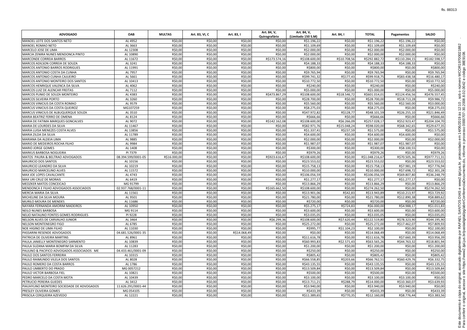| <b>ADVOGADO</b>                            | <b>OAB</b>         | <b>MULTAS</b> | Art. 83, VI, C | Art. 83, I   | Art. 84, V,<br>Quirografário | Art. 84, V,<br>(Limitado 150 S.M) | Art. 84, I   | <b>TOTAL</b>    | Pagamentos    | <b>SALDO</b>  |
|--------------------------------------------|--------------------|---------------|----------------|--------------|------------------------------|-----------------------------------|--------------|-----------------|---------------|---------------|
| MANOEL LEITE DOS SANTOS NETO               | AL 4952            | R\$0,00       | R\$0,00        | R\$0,00      | R\$0,00                      | R\$1.196,22                       | R\$0,00      | R\$1.196,22     | R\$1.196,22   | R\$0,00       |
| MANOEL ROMAO NETO                          | AL 3663            | R\$0,00       | R\$0,00        | R\$0,00      | R\$0,00                      | R\$1.109,69                       | R\$0,00      | R\$1.109,69     | R\$1.109,69   | R\$0,00       |
| MARCELO JOSE DE LIMA                       | AL 12308           | R\$0,00       | R\$0,00        | R\$0,00      | R\$0,00                      | R\$2.000,00                       | R\$0,00      | R\$2.000,00     | R\$2.000,00   | R\$0,00       |
| <b>MARCIA ZENIRA NUNES MENDONCA PINTO</b>  | AL 10890           | R\$0,00       | R\$0,00        | R\$0,00      | R\$0,00                      | R\$2.000,00                       | R\$0,00      | R\$2.000,00     | R\$2.000,00   | R\$0,00       |
| <b>MARCONDE CORREIA BARROS</b>             | AL 11672           | R\$0,00       | R\$0,00        | R\$0,00      | R\$173.574,16                | R\$108.600,00                     | R\$10.708,56 | R\$292.882,72   | R\$110.284,15 | R\$182.598,57 |
| MARCOS ADILSON CORREIA DE SOUZA            | AL 3241            | R\$0,00       | R\$0,00        | R\$0,00      | R\$0,00                      | R\$4.188,33                       | R\$0,00      | R\$4.188,33     | R\$4.188,33   | R\$0,00       |
| <b>MARCOS ANTONIO BARROS RODRIGUES</b>     | AL 11991           | R\$0,00       | R\$0,00        | R\$0,00      | R\$0,00                      | R\$800,00                         | R\$0,00      | R\$800,00       | R\$0,00       | R\$800,00     |
| MARCOS ANTONIO COSTA DA CUNHA              | AL 7957            | R\$0,00       | R\$0,00        | R\$0,00      | R\$0,00                      | R\$9.765,94                       | R\$0,00      | R\$9.765,94     | R\$0,00       | R\$9.765,94   |
| MARCOS ANTONIO CUNHA CAJUEIRO              | AL 5661            | R\$0,00       | R\$0,00        | R\$0,00      | R\$0,00                      | R\$99.741,3                       | R\$177,43    | R\$99.918,75    | R\$83.438,58  | R\$16.480,1   |
| <b>MARCOS ANTONIO MONTEIRO DOS SANTOS</b>  | AL 10413           | R\$0,00       | R\$0,00        | R\$0,00      | R\$0,00                      | R\$10.772,50                      | R\$0,00      | R\$10.772,50    | R\$0,00       | R\$10.772,50  |
| MARCOS HENRIQUE VALENCA DA SILVA           | AL 4062            | R\$0,00       | R\$0,00        | R\$0,00      | R\$0,00                      | R\$240,00                         | R\$0,00      | R\$240.00       | R\$0.00       | R\$240,00     |
| MARCOS LUIZ DE ALENCAR FREITAS             | AL 7112            | R\$0,00       | R\$0,00        | R\$0,00      | R\$0,00                      | R\$5.000,00                       | R\$0,00      | R\$5.000,00     | R\$0,00       | R\$5.000,00   |
| MARCOS PLINIO DE SOUZA MONTEIRO            | AL 4383            | R\$0,00       | R\$0,00        | R\$0,00      | R\$473.867,29                | R\$108.600,00                     | R\$18.546,72 | R\$601.014,01   | R\$124.456,56 | R\$476.557,45 |
| <b>MARCOS SILVEIRA PORTO</b>               | AL 3260            | R\$0,00       | R\$0,00        | R\$0,00      | R\$0,00                      | R\$28.700,00                      | R\$0,00      | R\$28.700,00    | R\$18.713,28  | R\$9.986,72   |
| MARCOS VINICIUS DA COSTA ROMAO             | AL 9579            | R\$0,00       | R\$0,00        | R\$0,00      | R\$0,00                      | R\$5.560,00                       | R\$0,00      | R\$5.560,00     | R\$2.560,00   | R\$3.000,00   |
| <b>MARCUS VINICIUS DA COSTA QUEIROZ</b>    | MG107259           | R\$0,00       | R\$0,00        | R\$0,00      | R\$0,00                      | R\$8.275,03                       | R\$0,00      | R\$8.275,03     | R\$0,00       | R\$8.275,03   |
| MARCUS VINICIUS DE ALBUQUERQUE SOUZA       | AL 3510            | R\$0,00       | R\$0,00        | R\$0,00      | R\$0,00                      | R\$47.972,82                      | R\$128,77    | R\$48.101,59    | R\$26.255,10  | R\$21.846,49  |
| MARIA BEATRIZ FERRO DE OMENA               | AL 8124            | R\$0,00       | R\$0,00        | R\$0,00      | R\$0,00                      | R\$666,66                         | R\$0,00      | R\$666,66       | R\$0,00       | R\$666,66     |
| MARIA DE FATIMA MARQUES GONCALVES          | AL 9072            | R\$0,00       | R\$0,00        | R\$0,00      | R\$142.162,08                | R\$108.600,00                     | R\$6.266,09  | R\$257.028,1    | R\$52.923,47  | R\$204.104,70 |
| MARIA DE LOURDES DA SILVA                  | AL 11467           | R\$0,00       | R\$0,00        | R\$0,00      | R\$0,00                      | R\$82.971.76                      | R\$15.048,24 | R\$98.020,00    | R\$68,342.65  | R\$29.677,35  |
| MARIA LUISA MENEZES COSTA ALVES            | AL 13856           | R\$0,00       | R\$0,00        | R\$0,00      | R\$0,00                      | R\$1.337,41                       | R\$237,59    | R\$1.575,00     | R\$0,00       | R\$1.575,00   |
| MARIA ZILDA DA SILVA                       | AL 11789           | R\$0,00       | R\$0,00        | R\$0,00      | R\$0,00                      | R\$4.600,00                       | R\$0,00      | R\$4.600,00     | R\$4.600,00   | R\$0,00       |
| MARIANA DA ALDEIA LIMA                     | AL 9885            | R\$0,00       | R\$0,00        | R\$0,00      | R\$0,00                      | R\$2.000,00                       | R\$0,00      | R\$2.000,00     | R\$0,00       | R\$2.000,00   |
| MARIO DE MEDEIROS ROCHA FILHO              | AL 9984            | R\$0,00       | R\$0,00        | R\$0,00      | R\$0,00                      | R\$1.987,07                       | R\$0,00      | R\$1.987,07     | R\$1.987,07   | R\$0,00       |
| <b>MARIO JORGE GOMES</b>                   | AL 1408            | R\$0,00       | R\$0,00        | R\$0,00      | R\$0,00                      | R\$300,00                         | R\$0,00      | R\$300,00       | R\$8.100,55   | R\$0,00       |
| <b>MARKUS BARBOSA NOGUEIRA</b>             | PI 7379            | R\$0,00       | R\$0,00        | R\$0,00      | R\$0,00                      | R\$979,26                         | R\$0,00      | R\$979,26       | R\$0,00       | R\$979,26     |
| MATOS PAURA & BELTRAO ADVOGADOS            | 08.394.599/0001-05 | R\$16.000,00  | R\$0,00        | R\$0,00      | R\$923.616,67                | R\$108.600,00                     | R\$0,00      | R\$1.048.216,67 | R\$70.505,36  | R\$977.711,31 |
| <b>MAURICIO DOS SANTOS</b>                 | AL 10156           | R\$0,00       | R\$0,00        | R\$0,00      | R\$0,00                      | R\$23.553,02                      | R\$0,00      | R\$23.553,02    | R\$0,0C       | R\$23.553,02  |
| <b>MAURICIO LEANDRO DA SILVA</b>           | AL 10219           | R\$0,00       | R\$0,00        | R\$0,00      | R\$0,00                      | R\$15.758,1                       | R\$0,00      | R\$15.758,13    | R\$7.981.19   | R\$7.776,94   |
| MAURICIO MARCELINO ALVES                   | AL 11572           | R\$0,00       | R\$0,00        | R\$0,00      | R\$0,00                      | R\$10.000,00                      | R\$0,00      | R\$10.000,00    | R\$7.698,72   | R\$2.301,28   |
| <b>MAX JOE LOPES CAVALCANTE</b>            | AL 4743            | R\$0,00       | R\$0,00        | R\$0,00      | R\$0,00                      | R\$106.056,59                     | R\$0,00      | R\$106.056,59   | R\$69.807,80  | R\$36.248,79  |
| <b>MAX URI CRUZ DE MORAIS</b>              | AL 6419            | R\$0,00       | R\$0,00        | R\$0,00      | R\$0,00                      | R\$1.277,17                       | R\$0,00      | R\$1.277,17     | R\$1.277,17   | R\$0,00       |
| <b>MEDZKER MATOS CONCEICAO</b>             | MG 91799           | R\$0,00       | R\$0,00        | R\$0,00      | R\$0,0                       | R\$13.866,29                      | R\$0,00      | R\$13.866,29    | R\$0,00       | R\$13.866,29  |
| MENDONCA E FILHO ADVOGADOS ASSOCIADOS      | 02.937.768/0001-11 | R\$0,00       | R\$0,00        | R\$0,00      | R\$165.662,50                | R\$108.600,00                     | R\$0,00      | R\$274.262,50   | R\$0.00       | R\$274.262.50 |
| <b>MERCIA MARIA DA SILVA</b>               | AL 11561           | R\$0,00       | R\$0,00        | R\$0,00      | R\$0,00                      | R\$13.901,06                      | R\$42,83     | R\$13.943,89    | R\$10.213,97  | R\$3.729,92   |
| <b>MICHELINE DA SILVA MOURA</b>            | AL 9501            | R\$0,00       | R\$0,00        | R\$0,00      | R\$0,00                      | R\$21.780.00                      | R\$0,00      | R\$21.780,00    | R\$12.890,38  | R\$8.889,62   |
| <b>MURILO MOURA DE MENDES</b>              | AL 11686           | R\$0,00       | R\$0,00        | R\$0,00      | R\$0,00                      | R\$720,00                         | R\$0,00      | R\$720,00       | R\$0,00       | R\$720,00     |
| NAYARA FERNANDA AMORIM MADEIROS            | AL 10950           | R\$0,00       | R\$0,00        | R\$0,00      | R\$0,00                      | R\$5.275,17                       | R\$724,83    | R\$6.000,00     | R\$4.988,17   | R\$1.011,83   |
| NEILO NUNES BARBOSA                        | MG 9114            | R\$0,00       | R\$0,00        | R\$0,00      | R\$0,00                      | R\$3.600,00                       | R\$0,00      | R\$3.600,00     | R\$0,00       | R\$3.600,00   |
| NELIO NATALINO FONTES GOMES RODRIGUES      | PI 9228            | R\$0,00       | R\$0,00        | R\$0,00      | R\$0,00                      | R\$3.035,05                       | R\$0,00      | R\$3.035,05     | R\$0,00       | R\$3.035,05   |
| NELSON ALVES DE CARVALHO JUNIOR            | AL 3464            | R\$0,00       | R\$0,00        | R\$0,00      | R\$6.299,36                  | R\$108.600,00                     | R\$7.620,44  | R\$122.519,80   | R\$78.323,90  | R\$44.195,90  |
| NELSON MONTENEGRO FIGO                     | AL 6785            | R\$0,00       | R\$0,00        | R\$0,00      | R\$0,00                      | R\$25.272,00                      | R\$0,00      | R\$25.272,00    | R\$17.462,07  | R\$7.809,93   |
| NOE HIGINO DE LIMA FILHO                   | AL 11030           | R\$0,00       | R\$0,00        | R\$0,00      | R\$0,00                      | R\$995,77                         | R\$1.104,23  | R\$2.100,00     | R\$0,00       | R\$2.100,00   |
| PASSARINI RESENDE ADVOGADOS                | 04.681.526/0001-35 | R\$0,00       | R\$0,00        | R\$14.068,49 | R\$0,00                      | R\$0,00                           | R\$0,00      | R\$14.068,49    | R\$0,00       | R\$14.068,49  |
| PATRICIA DE OLIVEIRA MARTINS               | AL 8961            | R\$0,00       | R\$0,00        | R\$0,00      | R\$0,00                      | R\$11.616,78                      | R\$0,00      | R\$11.616,78    | R\$7.660,39   | R\$3.956,39   |
| PAULA JANIELLY MONTENEGRO SARMENTO         | AL 10839           | R\$0,00       | R\$0,00        | R\$0,00      | R\$0,00                      | R\$60.993.83                      | R\$2.571,43  | R\$63.565,26    | R\$44.763,32  | R\$18.801,94  |
| PAULA SUZANA MARIA BOMFIM DA SILVA         | AL 11283           | R\$0,00       | R\$0,00        | R\$0,00      | R\$0,00                      | R\$1.200,00                       | R\$0,00      | R\$1.200,00     | R\$0,00       | R\$1.200,00   |
| PAULINO & PACIFICO ADVOGADOS ASSOCIADOS ME | 04.433.461/0001-09 | R\$0,00       | R\$0,00        | R\$0,00      | R\$0,00                      | R\$250,00                         | R\$0,00      | R\$250,00       | R\$0,00       | R\$250,00     |
| <b>PAULO DOS SANTOS FERREIRA</b>           | AL 10315           | R\$0,00       | R\$0,00        | R\$0,00      | R\$0,00                      | R\$805,42                         | R\$0,00      | R\$805,42       | R\$0,00       | R\$805,42     |
| PAULO RAIMUNDO VILELA DOS SANTOS           | AL 8028            | R\$0,00       | R\$0,00        | R\$0,00      | R\$0,00                      | R\$66.558,85                      | R\$203,66    | R\$66.762,51    | R\$60.429,76  | R\$6.332,75   |
| PAULO ROMERO DA COSTA BARROS               | AL 1786            | R\$0,00       | R\$0,00        | R\$0,00      | R\$0,00                      | R\$43.135,55                      | R\$0,00      | R\$43.135,55    | R\$0,00       | R\$43.135,55  |
| PAULO UMBERTO DO PRADO                     | MG 0057212         | R\$0,00       | R\$0,00        | R\$0,00      | R\$0,00                      | R\$13.509,84                      | R\$0,00      | R\$13.509,84    | R\$0,00       | R\$13.509,84  |
| <b>PAULO VICTOR BARBOSA FIEL</b>           | AL 10821           | R\$0,00       | R\$0,00        | R\$0,00      | R\$0,00                      | R\$500,00                         | R\$0,00      | R\$500,00       | R\$0,00       | R\$500,00     |
| PEDRO MARCELO DA COSTA MOTA                | AL 10439           | R\$0,00       | R\$0,00        | R\$0,00      | R\$0,00                      | R\$3.100,00                       | R\$0,00      | R\$3.100,00     | R\$3.100,00   | R\$0,00       |
| <b>PETRUCIO PEREIRA GUEDES</b>             | AL 3412            | R\$0,00       | R\$0,00        | R\$0,00      | R\$0,00                      | R\$13.711,21                      | R\$288,79    | R\$14.000,00    | R\$10.360,07  | R\$3.639,93   |
| PIAUHYLINO MONTEIRO SOCIEDADE DE ADVOGADOS | 11.626.291/0001-44 | R\$0,00       | R\$0,00        | R\$0,00      | R\$0,00                      | R\$3.940,00                       | R\$0,00      | R\$3.940,00     | R\$3.940,00   | R\$0,00       |
| PRESLEY OLIVEIRA GOMES                     | MG 054105          | R\$0,00       | R\$0,00        | R\$0,00      | R\$0,00                      | R\$433,39                         | R\$0,00      | R\$433,39       | R\$0,00       | R\$433,39     |
| PRISCILA CERQUEIRA AZEVEDO                 | AL 12221           | R\$0,00       | R\$0,00        | R\$0,00      | R\$0,00                      | R\$11.389,65                      | R\$770,35    | R\$12.160,00    | R\$8.776,44   | R\$3.383,56   |
|                                            |                    |               |                |              |                              |                                   |              |                 |               |               |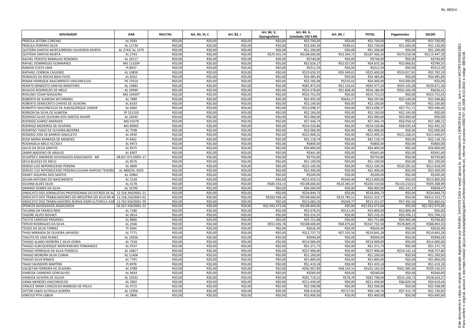| <b>ADVOGADO</b>                                                            | <b>OAB</b>         | <b>MULTAS</b>      | Art. 83, VI, C     | Art. 83, I         | Art. 84, V,<br>Quirografário | Art. 84, V,<br>(Limitado 150 S.M) | Art. 84, I         | <b>TOTAL</b>               | Pagamentos         | <b>SALDO</b>               |
|----------------------------------------------------------------------------|--------------------|--------------------|--------------------|--------------------|------------------------------|-----------------------------------|--------------------|----------------------------|--------------------|----------------------------|
| <b>PRISCILA JATOBA CORCINO</b>                                             | AL 9283            | R\$0,00            | R\$0,00            | R\$0,00            | R\$0,00                      | R\$3.700,00                       | R\$0,00            | R\$3.700,00                | R\$0,00            | R\$3.700,00                |
| PRISCILA PORFIRIO SILVA                                                    | AL 11730           | R\$0,00            | R\$0,00            | R\$0,00            | R\$0,00                      | R\$2.640,39                       | R\$89,61           | R\$2.730,00                | R\$1.600,00        | R\$1.130,00                |
| QUITEIRA DANTAS MURTA/BRENO CALHEIROS MURTA                                | AL 2743/AL 1570    | R\$0,00            | R\$0,00            | R\$0,00            | R\$0,00                      | R\$1.200,00                       | R\$0,00            | R\$1.200,00                | R\$0,00            | R\$1.200,00                |
| QUITERIA DANTAS MURTA                                                      | AL 2743            | R\$0,00            | R\$0,00            | R\$0,00            | R\$75.501,54                 | R\$108.600,00                     | R\$3.364,72        | R\$187.466,26              | R\$74.018,98       | R\$113.447,28              |
| RACHEL PEIXOTO RAMALHO ROSENDO                                             | AL 10117           | R\$0,00            | R\$0,00            | R\$0,00            | R\$0,00                      | R\$740,00                         | R\$0,00            | R\$740,00                  | R\$0,00            | R\$740,00                  |
| <b>RAFAEL DOMINGUES GUIMARAES</b>                                          | MG 113204          | R\$0,00            | R\$0,00            | R\$0,00            | R\$0,00                      | R\$2.626,27                       | R\$2.027,09        | R\$4.653,36                | R\$3.868,8         | R\$784,55                  |
| <b>RAMON COSTA LIMA</b>                                                    | PI 8037            | R\$0,00            | R\$0,00            | R\$0,00            | R\$0,00                      | R\$312,59                         | R\$0,00            | R\$312,59                  | R\$0,00            | R\$312,59                  |
| RAPHAEL CORREIA CAJUEIRO                                                   | AL 10850           | R\$0,00            | R\$0,00            | R\$0,00            | R\$0,00                      | R\$19.650,35                      | R\$5.949,65        | R\$25.600,00               | R\$19.817,81       | R\$5.782,19                |
| REINALDO DA ROCHA BAIA FILHO                                               | AL 8162            | R\$0,00            | R\$0,00            | R\$0,00            | R\$0,00                      | R\$4.485,84                       | R\$0,00            | R\$4.485,84                | R\$0,00            | R\$4.485,84                |
| <b>RENAN HENRIQUE NASCIMENTO VASCONCELOS</b>                               | PE 37619           | R\$0,00            | R\$0,00            | R\$0,00            | R\$0,00                      | R\$3.766,98                       | R\$233,02          | R\$4.000,00                | R\$4.000,00        | R\$0,00                    |
| RENATO BENEDITO DANTAS MONTEIRO                                            | AL 14883           | R\$0,00            | R\$0,00            | R\$0,00            | R\$0,00                      | R\$81.873,59                      | R\$1.103,65        | R\$82.977,24               | R\$43.105,68       | R\$39.871,56               |
| <b>RIVALDO RODRIGUES DE MELO</b>                                           | AL 10949           | R\$0,00            | R\$0,00            | R\$0,00            | R\$0,00                      | R\$54.378,60                      | R\$1.808,30        | R\$56.186,90               | R\$55.560,49       | R\$626,41                  |
| <b>RIVELINO CESAR NOGUEIRA</b>                                             | MG 104397          | R\$0,00            | R\$0,00            | R\$0,00            | R\$0,00                      | R\$53.752,03                      | R\$0,00            | R\$53.752,03               | R\$0,00            | R\$53.752,03               |
| ROBERTA DE ALMEIDA SATURNINO                                               | AL 7989            | R\$0,00            | R\$0,00            | R\$0,00            | R\$0,00                      | R\$5.955,59                       | R\$642,27          | R\$6.597,86                | R\$5.549,00        | R\$1.048,86                |
| ROBERTO DEMOCRITO CHAVES DE OLIVEIRA                                       | AL 8183            | R\$0,00            | R\$0,00            | R\$0,00            | R\$0,00                      | R\$2.100,00                       | R\$0,00            | R\$2.100,00                | R\$0,00            | R\$2.100,00                |
| ROBERTO VASCONCELOS DE ALBUQUERQUE JUNIOR                                  | AL 6060            | R\$0,00            | R\$0,00            | R\$0,00            | R\$0,00                      | R\$13.698,37                      | R\$0,00            | R\$13.698,37               | R\$7.751,71        | R\$5.946,66                |
| ROBSON DA SILVA DE ALMEIDA                                                 | SP 251103          | R\$0,00            | R\$0,00            | R\$0,00            | R\$0,00                      | R\$2.160,00                       | R\$0,00            | R\$2.160,00                | R\$2.160,00        | R\$0,00                    |
| RODRIGO ALVES OLIVEIRA DOS SANTOS XAVIER                                   | AL 10545           | R\$0,00            | R\$0,00            | R\$0,00            | R\$0,00                      | R\$3.000,00                       | R\$0,00            | R\$3.000,00                | R\$3.000,00        | R\$0,00                    |
| RODRIGO JUAREZ ANDRADE                                                     | MG 91078           | R\$0,00            | R\$0,00            | R\$0,00            | R\$0,00                      | R\$7.446,74                       | R\$0,00            | R\$7.446,74                | R\$6.058,42        | R\$1.388,32                |
| RODRIGO MEDEIROS DE OLIVEIRA                                               | MG 89902           | R\$0,00            | R\$0,00            | R\$0,00            | R\$0,00                      | R\$10.526,86                      | R\$0,00            | R\$10.526,86               | R\$8.035,54        | R\$2.491,32                |
| RODRYGO TIAGO DE OLIVEIRA BEZERRA                                          | AL 7598            | R\$0,00            | R\$0,00            | R\$0,00            | R\$0,00                      | R\$2.000,00                       | R\$0,00            | R\$2.000,00                | R\$0,00            | R\$2.000,00                |
| ROGERIO JOSE DE BARROS ANACLETO                                            | AL 4430            | R\$0,00            | R\$0,00            | R\$0,00            | R\$0,00                      | R\$22.909,32                      | R\$0,00            | R\$22.909,32               | R\$11.268,65       | R\$11.640,67               |
| ROSA MARIA BARBOSA DE MENESES                                              | PI 4452            | R\$0,00            | R\$0,00            | R\$0,00            | R\$0,00                      | R\$2.118,74                       | R\$0,00            | R\$2.118,74                | R\$0,00            | R\$2.118,74                |
| ROSANGELA MELO ACCIOLY                                                     | AL 4973            | R\$0,00            | R\$0,00            | R\$0,00            | R\$0,00                      | R\$800,00                         | R\$0,00            | R\$800,00                  | R\$0,00            | R\$800,00                  |
| <b>SALUS DA SILVA SANTOS</b>                                               | AL 8575            | R\$0,00            | R\$0,00            | R\$0,00            | R\$0,00                      | R\$6.800,00                       | R\$0,00            | R\$6.800,00                | R\$0,00            | R\$6.800,00                |
| SAMIR MADEIRO DE ARAUJO                                                    | AL 8307            | R\$0,00            | R\$0,00            | R\$0,00            | R\$0,00                      | R\$441,60                         | R\$0,00            | R\$441,60                  | R\$0,00            | R\$441,60                  |
| SCHAPER E ANDRADE ADVOGADOS ASSOCIADOS ME                                  | 08.857.071/0001-17 | R\$0,00            | R\$0,00            | R\$0,00            | R\$0,00                      | R\$750,80                         | R\$0,00            | R\$750,80                  | R\$0,00            | R\$750,80                  |
| SEILA BUZILES DE MELO                                                      | AL 8576            | R\$0,00            | R\$0,00            | R\$0,00            | R\$0,00                      | R\$1.100,00                       | R\$0,00            | R\$1.100,00                | R\$0,00            | R\$1.100,00                |
| SERGIO LUIZ NEPOMUCENO PEREIRA                                             | AL 4800            | R\$0,00            | R\$0,00            | R\$0,00            | R\$0,00                      | R\$22.100.56                      | R\$0,00            | R\$22.100,56               | R\$10.281,62       | R\$11.818,94               |
| SERGIO LUIZ NEPOMUCENO PEREIRA/JULIANA RAPOSO TENORI                       | AL 4800/AL 4929    | R\$0,00            | R\$0,00            | R\$0,00            | R\$0,00                      | R\$2.400,00                       | R\$0,00            | R\$2.400,00                | R\$0,00            | R\$2.400,00                |
| SIDNEY SIQUEIRA DOS SANTOS                                                 | AL 10962           | R\$0,00            | R\$0,00            | R\$0,00            | R\$0,00                      | R\$200,00                         | R\$0,00            | R\$200,00                  | R\$0,00            | R\$200,00                  |
| SILVAN ANTONIO DO NASCIMENTO                                               | AL 5328            | R\$0,00            | R\$0,00            | R\$0,00            | R\$0,00                      | R\$13.459,52                      | R\$340,48          | R\$13.800,00               | R\$0,00            | R\$13.800,00               |
| <b>SILVANA ALVES SILVA</b>                                                 | AL 4178            | R\$0,00            | R\$0,00            | R\$0,00            | R\$85.554,1                  | R\$108,600.00                     | R\$10.365,47       | R\$204.519,60              | R\$110.210,61      | R\$94.308,99               |
| SIMARIO GOMES DA SILVA                                                     | AL 10795           | R\$0,00            | R\$0,00            | R\$0,00            | R\$0,00                      | R\$6.000,00                       | R\$0,00            | R\$6.000,00                | R\$5.141,53        | R\$858,47                  |
| SINDICATO DOS JORNALISTAS PROFISSIONAIS DO ESTADO DE AL 12.318.390/0001-21 |                    | R\$0,00            | R\$0,00            | R\$0,00            | R\$0,00                      | R\$34.844,73                      | R\$0,00            | R\$34.844,73               | R\$0,00            | R\$34.844,73               |
| SINDICATO DOS TRABALHADORES DA INDUSTRIA DO ACUCAR NO                      | 12.158.226/0001-02 | R\$0,00            | R\$0,00            | R\$0,00            | R\$283.938,26                | R\$108.600,00                     | R\$19.785,51       | R\$412.323.77              | R\$0,00            | R\$412.323,77              |
| SINDICATO DOS TRABALHADORES RURAIS AGRICULTORES E AGR 12.762.936/0001-39   |                    | R\$0,00            | R\$0,00            | R\$0,00            | R\$0,00                      | R\$13.083,20                      | R\$269,77          | R\$13.352.97               | R\$7.492,56        | R\$5.860,41                |
| SPENCER ADVOGADOS ASSOCIADOS                                               | 04.507.436/0001-22 | R\$0,00            | R\$0,00            | R\$0,00            | R\$1.943.473,06              | R\$108.600,00                     | R\$0,00            | R\$2.052.073,06            | R\$0,00            | R\$2.052.073,06            |
| TACIANA DA FRANCA NERI                                                     | AL 7180            | R\$0,00            | R\$0,00            | R\$0,00            | R\$0,00                      | R\$3.678,05                       | R\$121,95          | R\$3.800,00                | R\$3.800,00        | R\$0,00                    |
| <b>TAGORE ALVES NOVAES</b>                                                 | AL 9014            | R\$0,00            | R\$0,00            | R\$0,00            | R\$0,00                      | R\$5.210,35                       | R\$0,00            | R\$5.210,35                | R\$3.506,12        | R\$1.704,23                |
| <b>TALYTA CARDOSO PRAZERES</b>                                             | AL 8866            | R\$0,00            | R\$0,00            | R\$0,00            | R\$0,00                      | R\$5.751,88                       | R\$0,00            | R\$5.751,88                | R\$4.983,08        | R\$768,80                  |
| TERCIO RODRIGUES DA SILVA                                                  | AL 2566            | R\$0,00            | R\$0,00            | R\$0,00            | R\$51.026,76                 | R\$108.600,00                     | R\$8.075,82        | R\$167.702,58              | R\$78.809,25       | R\$88.893,33               |
| <b>TESSIO DA SILVA TORRES</b>                                              | PI 5944            | R\$0,00            | R\$0,00            | R\$0,00            | R\$0,00                      | R\$626,49                         | R\$0,00            | R\$626,49                  | R\$0,00            | R\$626,49                  |
| THAIS MIRANDA DE OLIVEIRA JAPIASSO                                         | AL 7771            | R\$0,00            | R\$0,00            | R\$0,00            | R\$0,00                      | R\$12.737,72                      | R\$7.105,56        | R\$19.843,28               | R\$0,00            | R\$19.843,28               |
| THALITA DE LIMA NUNES                                                      | AL 10056           | R\$0,00            | R\$0,00            | R\$0,00            | R\$0,00                      | R\$994,69                         | R\$0,00            | R\$994,69                  | R\$0,00            | R\$994,69                  |
| THIAGO ALANO MOREIRA E SILVA DORIA                                         | AL 7318            | R\$0,00            | R\$0,00            | R\$0,00            | R\$0,00                      | R\$14.000,00                      | R\$0,00            | R\$14.000,00               | R\$0,00            | R\$14.000,00               |
| THIAGO ALBUQUERQUE MONTENEGRO FERNANDES                                    | AL 9747            | R\$0,00            | R\$0,00            | R\$0,00            | R\$0,00                      | R\$1.371,73                       | R\$0,00            | R\$1.371,73                | R\$0,00            | R\$1.371,73                |
| THIAGO HENRIQUE DA SILVA FONSECA                                           | AL 10817           | R\$0,00            | R\$0,00            | R\$0,00            | R\$0,00                      | R\$27.900,00                      | R\$0,00            | R\$27.900.00               | R\$19.142,14       | R\$8.757,86                |
| THIAGO MOREIRA SILVA CUNHA                                                 | AL 11406           | R\$0,00            | R\$0,00            | R\$0,00            | R\$0,00                      | R\$1.200,00                       | R\$0,00            | R\$1.200.00                | R\$0,00            | R\$1.200,00                |
|                                                                            |                    |                    |                    |                    |                              |                                   |                    |                            |                    |                            |
| THIAGO SILVA RAMOS<br><b>TIAGO SAUNDERS MARTINS</b>                        | AL 7791<br>PI 4978 | R\$0,00<br>R\$0,00 | R\$0,00<br>R\$0,00 | R\$0,00<br>R\$0,00 | R\$0,00<br>R\$0,00           | R\$1.800,00<br>R\$1.419,18        | R\$0,00<br>R\$0,00 | R\$1.800,00<br>R\$1.419,18 | R\$0,00<br>R\$0,00 | R\$1.800,00<br>R\$1.419,18 |
|                                                                            |                    |                    |                    |                    |                              |                                   |                    |                            |                    |                            |
| VALGETAN FERREIRA DE OLIVEIRA                                              | AL 4789            | R\$0,00            | R\$0,00            | R\$0,00            | R\$0,00                      | R\$92.907,89                      | R\$8.234,14        | R\$101.142,03              | R\$61.985,06       | R\$39.156,97               |
| VANESSA CARNEIRO GONCALVES                                                 | AL 9434            | R\$0,00            | R\$0,00            | R\$0,00            | R\$0,00                      | R\$560,00                         | R\$0,00            | R\$560,00                  | R\$0,00            | R\$560,00                  |
| VANESSA SILVEIRA DE SOUZA                                                  | AL 10532           | R\$0,00            | R\$0,00            | R\$0,00            | R\$0,00                      | R\$81.719,22                      | R\$78,78           | R\$81.798,00               | R\$53.168,73       | R\$28.629,27               |
| VANIA MENEZES VASCONCELOS                                                  | AL 5002            | R\$0,00            | R\$0,00            | R\$0,00            | R\$0,00                      | R\$11.449,00                      | R\$0,00            | R\$11.449,00               | R\$6.829,56        | R\$4.619,44                |
| VANUCE MARA CONCEICAO BARBOSA DE PAULA                                     | AL 4715            | R\$0,00            | R\$0,00            | R\$0,00            | R\$0,00                      | R\$2.508,98                       | R\$0,00            | R\$2.508,98                | R\$0,00            | R\$2.508,98                |
| <b>VICTOR LAGES ALTAVILA GUERRA</b>                                        | AL 12956           | R\$0,00            | R\$0,00            | R\$0,00            | R\$0,00                      | R\$8.418,83                       | R\$727,91          | R\$9.146,74                | R\$7.415,79        | R\$1.730,95                |
| <b>VINICIUS PITA LISBOA</b>                                                | AL 3806            | R\$0,00            | R\$0,00            | R\$0,00            | R\$0,00                      | R\$3.400,00                       | R\$0,00            | R\$3.400,00                | R\$0,00            | R\$3.400,00                |